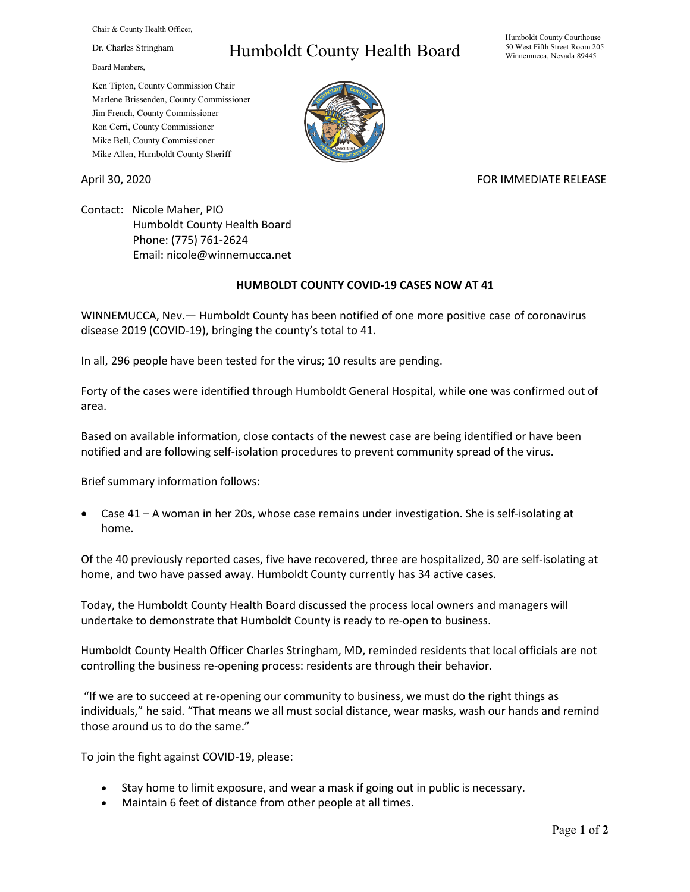Chair & County Health Officer,

Dr. Charles Stringham

Board Members,

## Humboldt County Health Board

Humboldt County Courthouse 50 West Fifth Street Room 205 Winnemucca, Nevada 89445

Ken Tipton, County Commission Chair Marlene Brissenden, County Commissioner Jim French, County Commissioner Ron Cerri, County Commissioner Mike Bell, County Commissioner Mike Allen, Humboldt County Sheriff

## April 30, 2020 **FOR IMMEDIATE RELEASE**

Contact: Nicole Maher, PIO Humboldt County Health Board Phone: (775) 761-2624 Email: nicole@winnemucca.net

## **HUMBOLDT COUNTY COVID-19 CASES NOW AT 41**

WINNEMUCCA, Nev.— Humboldt County has been notified of one more positive case of coronavirus disease 2019 (COVID-19), bringing the county's total to 41.

In all, 296 people have been tested for the virus; 10 results are pending.

Forty of the cases were identified through Humboldt General Hospital, while one was confirmed out of area.

Based on available information, close contacts of the newest case are being identified or have been notified and are following self-isolation procedures to prevent community spread of the virus.

Brief summary information follows:

• Case 41 – A woman in her 20s, whose case remains under investigation. She is self-isolating at home.

Of the 40 previously reported cases, five have recovered, three are hospitalized, 30 are self-isolating at home, and two have passed away. Humboldt County currently has 34 active cases.

Today, the Humboldt County Health Board discussed the process local owners and managers will undertake to demonstrate that Humboldt County is ready to re-open to business.

Humboldt County Health Officer Charles Stringham, MD, reminded residents that local officials are not controlling the business re-opening process: residents are through their behavior.

"If we are to succeed at re-opening our community to business, we must do the right things as individuals," he said. "That means we all must social distance, wear masks, wash our hands and remind those around us to do the same."

To join the fight against COVID-19, please:

- Stay home to limit exposure, and wear a mask if going out in public is necessary.
- Maintain 6 feet of distance from other people at all times.